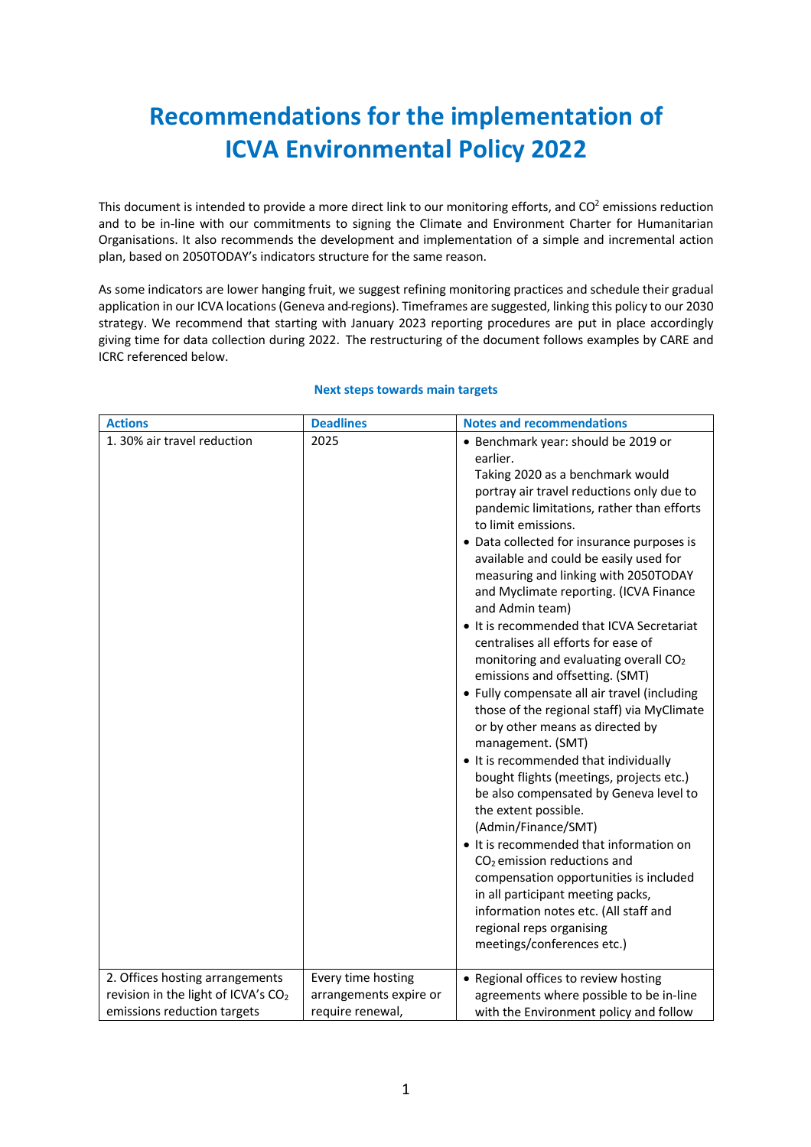## **Recommendations for the implementation of ICVA Environmental Policy 2022**

This document is intended to provide a more direct link to our monitoring efforts, and  $CO<sup>2</sup>$  emissions reduction and to be in-line with our commitments to signing the Climate and Environment Charter for Humanitarian Organisations. It also recommends the development and implementation of a simple and incremental action plan, based on 2050TODAY's indicators structure for the same reason.

As some indicators are lower hanging fruit, we suggest refining monitoring practices and schedule their gradual application in our ICVA locations (Geneva and regions). Timeframes are suggested, linking this policy to our 2030 strategy. We recommend that starting with January 2023 reporting procedures are put in place accordingly giving time for data collection during 2022. The restructuring of the document follows examples by CARE and ICRC referenced below.

| <b>Actions</b>                                                                                                    | <b>Deadlines</b>                                                 | <b>Notes and recommendations</b>                                                                                                                                                                                                                                                                                                                                                                                                                                                                                                                                                                                                                                                                                                                                                                                                                                                                                                                                                                                                                                                                                                                                                         |
|-------------------------------------------------------------------------------------------------------------------|------------------------------------------------------------------|------------------------------------------------------------------------------------------------------------------------------------------------------------------------------------------------------------------------------------------------------------------------------------------------------------------------------------------------------------------------------------------------------------------------------------------------------------------------------------------------------------------------------------------------------------------------------------------------------------------------------------------------------------------------------------------------------------------------------------------------------------------------------------------------------------------------------------------------------------------------------------------------------------------------------------------------------------------------------------------------------------------------------------------------------------------------------------------------------------------------------------------------------------------------------------------|
| 1. 30% air travel reduction                                                                                       | 2025                                                             | • Benchmark year: should be 2019 or<br>earlier.<br>Taking 2020 as a benchmark would<br>portray air travel reductions only due to<br>pandemic limitations, rather than efforts<br>to limit emissions.<br>• Data collected for insurance purposes is<br>available and could be easily used for<br>measuring and linking with 2050TODAY<br>and Myclimate reporting. (ICVA Finance<br>and Admin team)<br>• It is recommended that ICVA Secretariat<br>centralises all efforts for ease of<br>monitoring and evaluating overall CO <sub>2</sub><br>emissions and offsetting. (SMT)<br>• Fully compensate all air travel (including<br>those of the regional staff) via MyClimate<br>or by other means as directed by<br>management. (SMT)<br>• It is recommended that individually<br>bought flights (meetings, projects etc.)<br>be also compensated by Geneva level to<br>the extent possible.<br>(Admin/Finance/SMT)<br>It is recommended that information on<br>CO <sub>2</sub> emission reductions and<br>compensation opportunities is included<br>in all participant meeting packs,<br>information notes etc. (All staff and<br>regional reps organising<br>meetings/conferences etc.) |
| 2. Offices hosting arrangements<br>revision in the light of ICVA's CO <sub>2</sub><br>emissions reduction targets | Every time hosting<br>arrangements expire or<br>require renewal, | • Regional offices to review hosting<br>agreements where possible to be in-line<br>with the Environment policy and follow                                                                                                                                                                                                                                                                                                                                                                                                                                                                                                                                                                                                                                                                                                                                                                                                                                                                                                                                                                                                                                                                |

## **Next steps towards main targets**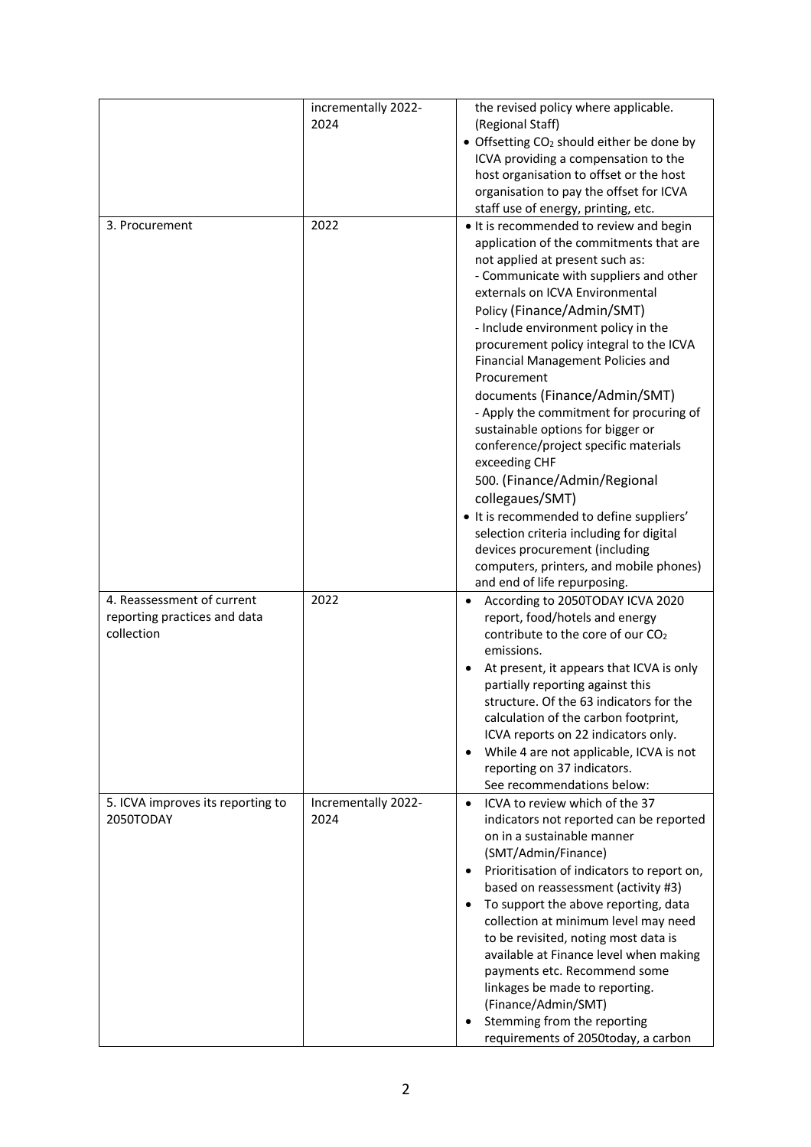|                                                                          | incrementally 2022-<br>2024 | the revised policy where applicable.<br>(Regional Staff)<br>• Offsetting CO <sub>2</sub> should either be done by<br>ICVA providing a compensation to the<br>host organisation to offset or the host<br>organisation to pay the offset for ICVA<br>staff use of energy, printing, etc.                                                                                                                                                                                                                                                                                                                                                                                                                                                                                                                    |
|--------------------------------------------------------------------------|-----------------------------|-----------------------------------------------------------------------------------------------------------------------------------------------------------------------------------------------------------------------------------------------------------------------------------------------------------------------------------------------------------------------------------------------------------------------------------------------------------------------------------------------------------------------------------------------------------------------------------------------------------------------------------------------------------------------------------------------------------------------------------------------------------------------------------------------------------|
| 3. Procurement                                                           | 2022                        | . It is recommended to review and begin<br>application of the commitments that are<br>not applied at present such as:<br>- Communicate with suppliers and other<br>externals on ICVA Environmental<br>Policy (Finance/Admin/SMT)<br>- Include environment policy in the<br>procurement policy integral to the ICVA<br>Financial Management Policies and<br>Procurement<br>documents (Finance/Admin/SMT)<br>- Apply the commitment for procuring of<br>sustainable options for bigger or<br>conference/project specific materials<br>exceeding CHF<br>500. (Finance/Admin/Regional<br>collegaues/SMT)<br>• It is recommended to define suppliers'<br>selection criteria including for digital<br>devices procurement (including<br>computers, printers, and mobile phones)<br>and end of life repurposing. |
| 4. Reassessment of current<br>reporting practices and data<br>collection | 2022                        | According to 2050TODAY ICVA 2020<br>report, food/hotels and energy<br>contribute to the core of our CO <sub>2</sub><br>emissions.<br>At present, it appears that ICVA is only<br>partially reporting against this<br>structure. Of the 63 indicators for the<br>calculation of the carbon footprint,<br>ICVA reports on 22 indicators only.<br>While 4 are not applicable, ICVA is not<br>reporting on 37 indicators.<br>See recommendations below:                                                                                                                                                                                                                                                                                                                                                       |
| 5. ICVA improves its reporting to<br>2050TODAY                           | Incrementally 2022-<br>2024 | ICVA to review which of the 37<br>$\bullet$<br>indicators not reported can be reported<br>on in a sustainable manner<br>(SMT/Admin/Finance)<br>Prioritisation of indicators to report on,<br>based on reassessment (activity #3)<br>To support the above reporting, data<br>collection at minimum level may need<br>to be revisited, noting most data is<br>available at Finance level when making<br>payments etc. Recommend some<br>linkages be made to reporting.<br>(Finance/Admin/SMT)<br>Stemming from the reporting<br>requirements of 2050today, a carbon                                                                                                                                                                                                                                         |